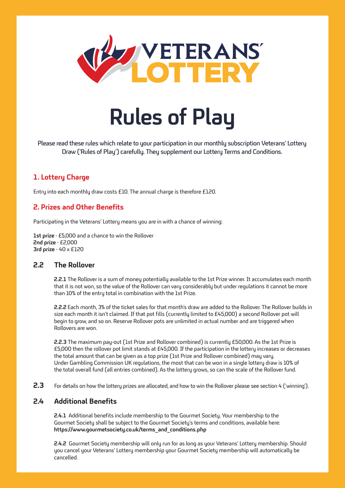

# **Rules of Play**

Please read these rules which relate to your participation in our monthly subscription Veterans' Lottery Draw ('Rules of Play') carefully. They supplement our Lottery Terms and Conditions.

# **1. Lottery Charge**

Entry into each monthly draw costs £10. The annual charge is therefore £120.

# **2. Prizes and Other Benefits**

Participating in the Veterans' Lottery means you are in with a chance of winning:

**1st prize** - £5,000 and a chance to win the Rollover **2nd prize** - £2,000 **3rd prize** - 40 x £120

## **2.2 The Rollover**

**2.2.1** The Rollover is a sum of money potentially available to the 1st Prize winner. It accumulates each month that it is not won, so the value of the Rollover can vary considerably but under regulations it cannot be more than 10% of the entry total in combination with the 1st Prize.

**2.2.2** Each month, 3% of the ticket sales for that month's draw are added to the Rollover. The Rollover builds in size each month it isn't claimed. If that pot fills (currently limited to £45,000) a second Rollover pot will begin to grow, and so on. Reserve Rollover pots are unlimited in actual number and are triggered when Rollovers are won.

**2.2.3** The maximum pay-out (1st Prize and Rollover combined) is currently £50,000. As the 1st Prize is £5,000 then the rollover pot limit stands at £45,000. If the participation in the lottery increases or decreases the total amount that can be given as a top prize (1st Prize and Rollover combined) may vary. Under Gambling Commission UK regulations, the most that can be won in a single lottery draw is 10% of the total overall fund (all entries combined). As the lottery grows, so can the scale of the Rollover fund.

**2.3** For details on how the lottery prizes are allocated, and how to win the Rollover please see section 4 ('winning').

## **2.4 Additional Benefits**

**2.4.1** Additional benefits include membership to the Gourmet Society. Your membership to the Gourmet Societu shall be subiect to the Gourmet Societu's terms and conditions, available here: **https://www.gourmetsociety.co.uk/terms\_and\_conditions.php**

**2.4.2** Gourmet Society membership will only run for as long as your Veterans' Lottery membership. Should you cancel your Veterans' Lottery membership your Gourmet Society membership will automatically be cancelled.